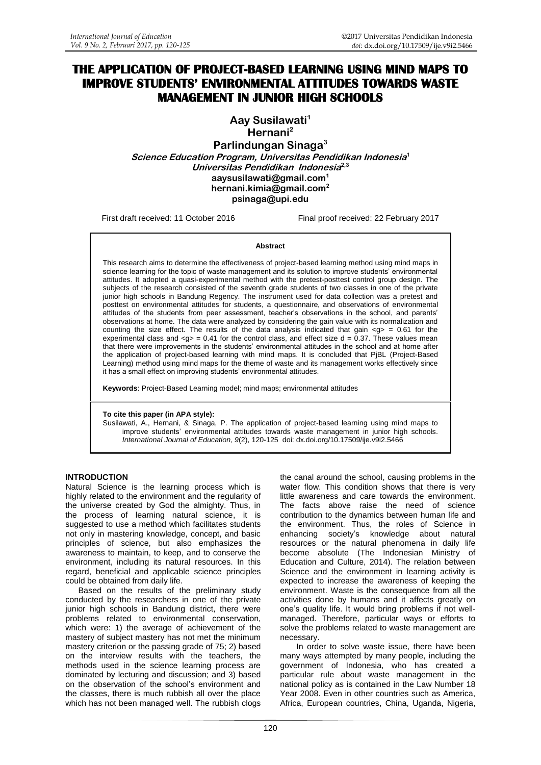# **THE APPLICATION OF PROJECT-BASED LEARNING USING MIND MAPS TO IMPROVE STUDENTS' ENVIRONMENTAL ATTITUDES TOWARDS WASTE MANAGEMENT IN JUNIOR HIGH SCHOOLS**

**Aay Susilawati<sup>1</sup> Hernani<sup>2</sup> Parlindungan Sinaga<sup>3</sup> Science Education Program, Universitas Pendidikan Indonesia 1 Universitas Pendidikan Indonesia 2,3 [aaysusilawati@gmail.com](mailto:aaysusilawati@gmail.com)<sup>1</sup> [hernani.kimia@gmail.com](mailto:Hernani.kimia@gmail.com)<sup>2</sup> [psinaga@upi.edu](mailto:psinaga@upi.edu)**

First draft received: 11 October 2016 Final proof received: 22 February 2017

#### **Abstract**

This research aims to determine the effectiveness of project-based learning method using mind maps in science learning for the topic of waste management and its solution to improve students' environmental attitudes. It adopted a quasi-experimental method with the pretest-posttest control group design. The subjects of the research consisted of the seventh grade students of two classes in one of the private junior high schools in Bandung Regency. The instrument used for data collection was a pretest and posttest on environmental attitudes for students, a questionnaire, and observations of environmental attitudes of the students from peer assessment, teacher's observations in the school, and parents' observations at home. The data were analyzed by considering the gain value with its normalization and counting the size effect. The results of the data analysis indicated that gain  $\langle g \rangle = 0.61$  for the experimental class and  $<sub>g</sub>$  = 0.41 for the control class, and effect size  $d = 0.37$ . These values mean</sub> that there were improvements in the students' environmental attitudes in the school and at home after the application of project-based learning with mind maps. It is concluded that PjBL (Project-Based Learning) method using mind maps for the theme of waste and its management works effectively since it has a small effect on improving students' environmental attitudes.

**Keywords**: Project-Based Learning model; mind maps; environmental attitudes

#### **To cite this paper (in APA style):**

Susilawati, A., Hernani, & Sinaga, P. The application of project-based learning using mind maps to improve students' environmental attitudes towards waste management in junior high schools. *International Journal of Education, 9*(2), 120-125 doi: [dx.doi.org/10.17509/ije.v9i2.5466](http://dx.doi.org/10.17509/ije.v9i2.5466)

### **INTRODUCTION**

Natural Science is the learning process which is highly related to the environment and the regularity of the universe created by God the almighty. Thus, in the process of learning natural science, it is suggested to use a method which facilitates students not only in mastering knowledge, concept, and basic principles of science, but also emphasizes the awareness to maintain, to keep, and to conserve the environment, including its natural resources. In this regard, beneficial and applicable science principles could be obtained from daily life.

Based on the results of the preliminary study conducted by the researchers in one of the private junior high schools in Bandung district, there were problems related to environmental conservation, which were: 1) the average of achievement of the mastery of subject mastery has not met the minimum mastery criterion or the passing grade of 75; 2) based on the interview results with the teachers, the methods used in the science learning process are dominated by lecturing and discussion; and 3) based on the observation of the school's environment and the classes, there is much rubbish all over the place which has not been managed well. The rubbish clogs

the canal around the school, causing problems in the water flow. This condition shows that there is very little awareness and care towards the environment. The facts above raise the need of science contribution to the dynamics between human life and the environment. Thus, the roles of Science in enhancing society's knowledge about natural resources or the natural phenomena in daily life become absolute (The Indonesian Ministry of Education and Culture, 2014). The relation between Science and the environment in learning activity is expected to increase the awareness of keeping the environment. Waste is the consequence from all the activities done by humans and it affects greatly on one's quality life. It would bring problems if not wellmanaged. Therefore, particular ways or efforts to solve the problems related to waste management are necessary.

In order to solve waste issue, there have been many ways attempted by many people, including the government of Indonesia, who has created a particular rule about waste management in the national policy as is contained in the Law Number 18 Year 2008. Even in other countries such as America, Africa, European countries, China, Uganda, Nigeria,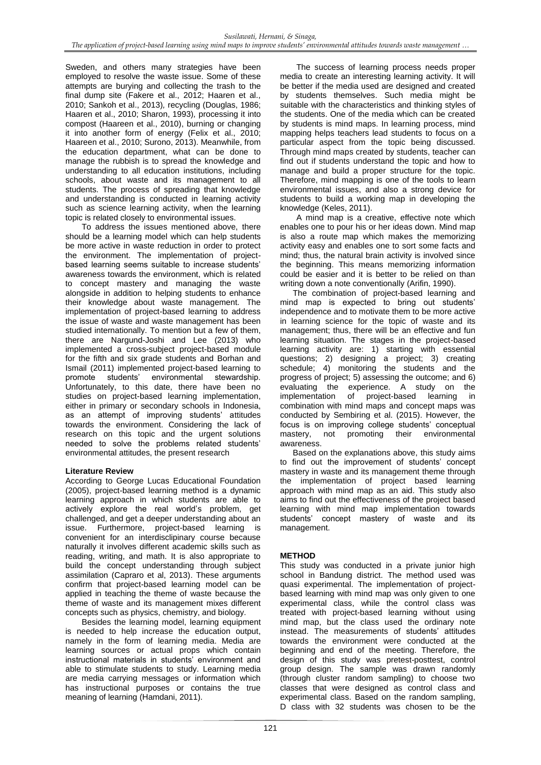Sweden, and others many strategies have been employed to resolve the waste issue. Some of these attempts are burying and collecting the trash to the final dump site (Fakere et al., 2012; Haaren et al., 2010; Sankoh et al., 2013)*,* recycling (Douglas, 1986; Haaren et al., 2010; Sharon, 1993)*,* processing it into compost (Haareen et al., 2010), burning or changing it into another form of energy (Felix et al., 2010; Haareen et al., 2010; Surono, 2013). Meanwhile, from the education department, what can be done to manage the rubbish is to spread the knowledge and understanding to all education institutions, including schools, about waste and its management to all students. The process of spreading that knowledge and understanding is conducted in learning activity such as science learning activity, when the learning topic is related closely to environmental issues.

To address the issues mentioned above, there should be a learning model which can help students be more active in waste reduction in order to protect the environment. The implementation of projectbased learning seems suitable to increase students' awareness towards the environment, which is related to concept mastery and managing the waste alongside in addition to helping students to enhance their knowledge about waste management. The implementation of project-based learning to address the issue of waste and waste management has been studied internationally. To mention but a few of them, there are Nargund-Joshi and Lee (2013) who implemented a cross-subject project-based module for the fifth and six grade students and Borhan and Ismail (2011) implemented project-based learning to promote students' environmental stewardship. Unfortunately, to this date, there have been no studies on project-based learning implementation, either in primary or secondary schools in Indonesia, as an attempt of improving students' attitudes towards the environment. Considering the lack of research on this topic and the urgent solutions needed to solve the problems related students' environmental attitudes, the present research

# **Literature Review**

According to George Lucas Educational Foundation (2005), project-based learning method is a dynamic learning approach in which students are able to actively explore the real world's problem, get challenged, and get a deeper understanding about an issue. Furthermore, project-based learning is convenient for an interdisclipinary course because naturally it involves different academic skills such as reading, writing, and math. It is also appropriate to build the concept understanding through subject assimilation (Capraro et al, 2013). These arguments confirm that project-based learning model can be applied in teaching the theme of waste because the theme of waste and its management mixes different concepts such as physics, chemistry, and biology.

Besides the learning model, learning equipment is needed to help increase the education output, namely in the form of learning media. Media are learning sources or actual props which contain instructional materials in students' environment and able to stimulate students to study. Learning media are media carrying messages or information which has instructional purposes or contains the true meaning of learning (Hamdani, 2011).

The success of learning process needs proper media to create an interesting learning activity. It will be better if the media used are designed and created by students themselves. Such media might be suitable with the characteristics and thinking styles of the students. One of the media which can be created by students is mind maps. In learning process, mind mapping helps teachers lead students to focus on a particular aspect from the topic being discussed. Through mind maps created by students, teacher can find out if students understand the topic and how to manage and build a proper structure for the topic. Therefore, mind mapping is one of the tools to learn environmental issues, and also a strong device for students to build a working map in developing the knowledge (Keles, 2011).

A mind map is a creative, effective note which enables one to pour his or her ideas down. Mind map is also a route map which makes the memorizing activity easy and enables one to sort some facts and mind; thus, the natural brain activity is involved since the beginning. This means memorizing information could be easier and it is better to be relied on than writing down a note conventionally (Arifin, 1990).

The combination of project-based learning and mind map is expected to bring out students' independence and to motivate them to be more active in learning science for the topic of waste and its management; thus, there will be an effective and fun learning situation. The stages in the project-based learning activity are: 1) starting with essential questions; 2) designing a project; 3) creating schedule; 4) monitoring the students and the progress of project; 5) assessing the outcome; and 6) evaluating the experience. A study on the implementation of project-based learning in combination with mind maps and concept maps was conducted by Sembiring et al. (2015). However, the focus is on improving college students' conceptual promoting their awareness.

Based on the explanations above, this study aims to find out the improvement of students' concept mastery in waste and its management theme through the implementation of project based learning approach with mind map as an aid. This study also aims to find out the effectiveness of the project based learning with mind map implementation towards students' concept mastery of waste and its management.

# **METHOD**

This study was conducted in a private junior high school in Bandung district. The method used was quasi experimental. The implementation of projectbased learning with mind map was only given to one experimental class, while the control class was treated with project-based learning without using mind map, but the class used the ordinary note instead. The measurements of students' attitudes towards the environment were conducted at the beginning and end of the meeting. Therefore, the design of this study was pretest-posttest, control group design. The sample was drawn randomly (through cluster random sampling) to choose two classes that were designed as control class and experimental class. Based on the random sampling, D class with 32 students was chosen to be the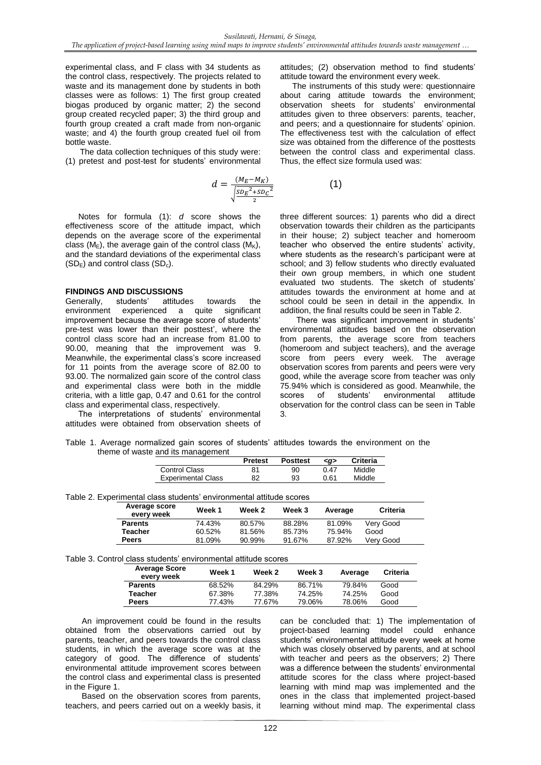experimental class, and F class with 34 students as the control class, respectively. The projects related to waste and its management done by students in both classes were as follows: 1) The first group created biogas produced by organic matter; 2) the second group created recycled paper; 3) the third group and fourth group created a craft made from non-organic waste; and 4) the fourth group created fuel oil from bottle waste.

The data collection techniques of this study were: (1) pretest and post-test for students' environmental

$$
d = \frac{(M_E - M_K)}{\sqrt{\frac{SD_E^2 + SD_C^2}{2}}}
$$

Notes for formula (1): *d* score shows the effectiveness score of the attitude impact, which depends on the average score of the experimental class ( $M_E$ ), the average gain of the control class ( $M_K$ ), and the standard deviations of the experimental class  $(SD<sub>E</sub>)$  and control class  $(SD<sub>c</sub>)$ .

### **FINDINGS AND DISCUSSIONS**

Generally, students' attitudes towards the environment experienced a quite significant improvement because the average score of students' pre-test was lower than their posttest', where the control class score had an increase from 81.00 to 90.00, meaning that the improvement was 9. Meanwhile, the experimental class's score increased for 11 points from the average score of 82.00 to 93.00. The normalized gain score of the control class and experimental class were both in the middle criteria, with a little gap, 0.47 and 0.61 for the control class and experimental class, respectively.

The interpretations of students' environmental attitudes were obtained from observation sheets of attitudes; (2) observation method to find students' attitude toward the environment every week.

The instruments of this study were: questionnaire about caring attitude towards the environment; observation sheets for students' environmental attitudes given to three observers: parents, teacher, and peers; and a questionnaire for students' opinion. The effectiveness test with the calculation of effect size was obtained from the difference of the posttests between the control class and experimental class. Thus, the effect size formula used was:

(1)

three different sources: 1) parents who did a direct observation towards their children as the participants in their house; 2) subject teacher and homeroom teacher who observed the entire students' activity, where students as the research's participant were at school; and 3) fellow students who directly evaluated their own group members, in which one student evaluated two students. The sketch of students' attitudes towards the environment at home and at school could be seen in detail in the appendix. In addition, the final results could be seen in Table 2.

There was significant improvement in students' environmental attitudes based on the observation from parents, the average score from teachers (homeroom and subject teachers), and the average score from peers every week. The average observation scores from parents and peers were very good, while the average score from teacher was only 75.94% which is considered as good. Meanwhile, the scores of students' environmental attitude observation for the control class can be seen in Table 3.

|                                   |  |  |  |  |  |  |  |  | Table 1. Average normalized gain scores of students' attitudes towards the environment on the |  |
|-----------------------------------|--|--|--|--|--|--|--|--|-----------------------------------------------------------------------------------------------|--|
| theme of waste and its management |  |  |  |  |  |  |  |  |                                                                                               |  |

|                           | <b>Pretest</b> | <b>Posttest</b> | <a></a> | <b>Criteria</b> |
|---------------------------|----------------|-----------------|---------|-----------------|
| Control Class             |                | 90              | 0.47    | Middle          |
| <b>Experimental Class</b> | 82             | 93              | 0.61    | Middle          |

| Table 2. Experimental class students' environmental attitude scores |  |  |  |  |  |
|---------------------------------------------------------------------|--|--|--|--|--|
|---------------------------------------------------------------------|--|--|--|--|--|

| Average score<br>every week | Week 1 | Week 2 | Week 3 | Average | Criteria  |
|-----------------------------|--------|--------|--------|---------|-----------|
| <b>Parents</b>              | 74.43% | 80.57% | 88.28% | 81.09%  | Very Good |
| Teacher                     | 60.52% | 81.56% | 85.73% | 75.94%  | Good      |
| <b>Peers</b>                | 81.09% | 90.99% | 91.67% | 87.92%  | Very Good |

#### Table 3. Control class students' environmental attitude scores

| <b>Average Score</b><br>every week | Week 1 | Week 2 | Week 3 | Average | Criteria |
|------------------------------------|--------|--------|--------|---------|----------|
| <b>Parents</b>                     | 68.52% | 84.29% | 86.71% | 79.84%  | Good     |
| Teacher                            | 67.38% | 77.38% | 74.25% | 74.25%  | Good     |
| <b>Peers</b>                       | 77.43% | 77.67% | 79.06% | 78.06%  | Good     |

An improvement could be found in the results obtained from the observations carried out by parents, teacher, and peers towards the control class students, in which the average score was at the category of good. The difference of students' environmental attitude improvement scores between the control class and experimental class is presented in the Figure 1.

Based on the observation scores from parents, teachers, and peers carried out on a weekly basis, it can be concluded that: 1) The implementation of project-based learning model could enhance students' environmental attitude every week at home which was closely observed by parents, and at school with teacher and peers as the observers; 2) There was a difference between the students' environmental attitude scores for the class where project-based learning with mind map was implemented and the ones in the class that implemented project-based learning without mind map. The experimental class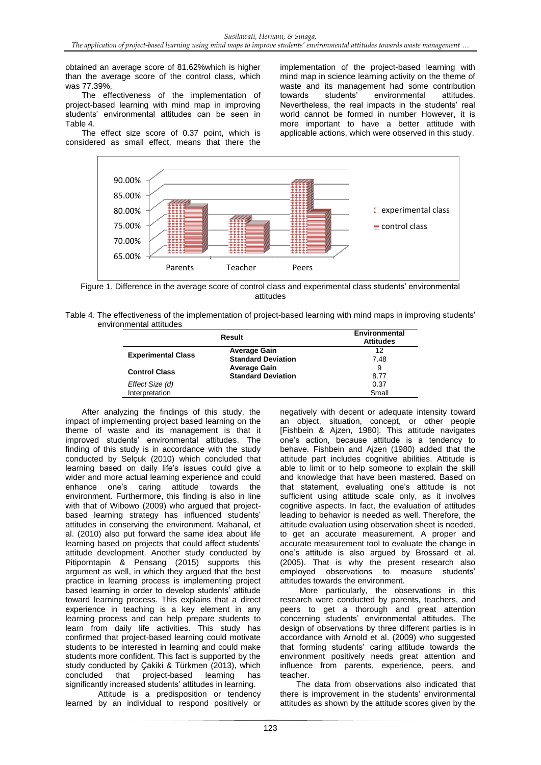obtained an average score of 81.62%which is higher than the average score of the control class, which was 77.39%.

The effectiveness of the implementation of project-based learning with mind map in improving students' environmental attitudes can be seen in Table 4.

The effect size score of 0.37 point, which is considered as small effect, means that there the implementation of the project-based learning with mind map in science learning activity on the theme of waste and its management had some contribution<br>towards students' environmental attitudes. environmental Nevertheless, the real impacts in the students' real world cannot be formed in number However, it is more important to have a better attitude with applicable actions, which were observed in this study.



Figure 1. Difference in the average score of control class and experimental class students' environmental attitudes

| Table 4. The effectiveness of the implementation of project-based learning with mind maps in improving students' |  |  |
|------------------------------------------------------------------------------------------------------------------|--|--|
| environmental attitudes                                                                                          |  |  |

|                           | Environmental<br><b>Attitudes</b> |       |
|---------------------------|-----------------------------------|-------|
|                           | <b>Average Gain</b>               | 12    |
| <b>Experimental Class</b> | <b>Standard Deviation</b>         | 7.48  |
| <b>Control Class</b>      | <b>Average Gain</b>               | 9     |
|                           | <b>Standard Deviation</b>         | 8.77  |
| Effect Size (d)           |                                   | 0.37  |
| Interpretation            |                                   | Small |

After analyzing the findings of this study, the impact of implementing project based learning on the theme of waste and its management is that it improved students' environmental attitudes. The finding of this study is in accordance with the study conducted by Selçuk (2010) which concluded that learning based on daily life's issues could give a wider and more actual learning experience and could enhance one's caring attitude towards the environment. Furthermore, this finding is also in line with that of Wibowo (2009) who argued that projectbased learning strategy has influenced students' attitudes in conserving the environment. Mahanal, et al. (2010) also put forward the same idea about life learning based on projects that could affect students' attitude development. Another study conducted by Pitiporntapin & Pensang (2015) supports this argument as well, in which they argued that the best practice in learning process is implementing project based learning in order to develop students' attitude toward learning process. This explains that a direct experience in teaching is a key element in any learning process and can help prepare students to learn from daily life activities. This study has confirmed that project-based learning could motivate students to be interested in learning and could make students more confident. This fact is supported by the study conducted by Cakiki & Türkmen (2013), which concluded that project-based learning has significantly increased students' attitudes in learning.

Attitude is a predisposition or tendency learned by an individual to respond positively or negatively with decent or adequate intensity toward an object, situation, concept, or other people [Fishbein & Ajzen, 1980]. This attitude navigates one's action, because attitude is a tendency to behave. Fishbein and Ajzen (1980) added that the attitude part includes cognitive abilities. Attitude is able to limit or to help someone to explain the skill and knowledge that have been mastered. Based on that statement, evaluating one's attitude is not sufficient using attitude scale only, as it involves cognitive aspects. In fact, the evaluation of attitudes leading to behavior is needed as well. Therefore, the attitude evaluation using observation sheet is needed, to get an accurate measurement. A proper and accurate measurement tool to evaluate the change in one's attitude is also argued by Brossard et al. (2005). That is why the present research also employed observations to measure students' attitudes towards the environment.

More particularly, the observations in this research were conducted by parents, teachers, and peers to get a thorough and great attention concerning students' environmental attitudes. The design of observations by three different parties is in accordance with Arnold et al. (2009) who suggested that forming students' caring attitude towards the environment positively needs great attention and influence from parents, experience, peers, and teacher.

The data from observations also indicated that there is improvement in the students' environmental attitudes as shown by the attitude scores given by the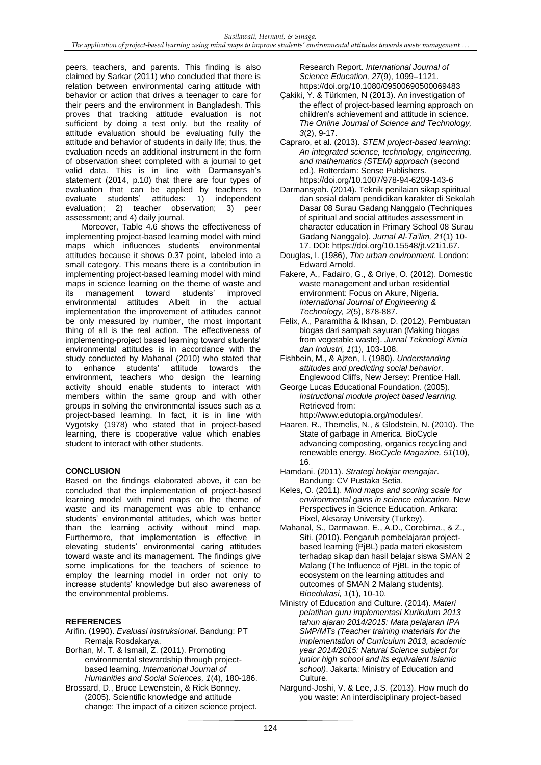peers, teachers, and parents. This finding is also claimed by Sarkar (2011) who concluded that there is relation between environmental caring attitude with behavior or action that drives a teenager to care for their peers and the environment in Bangladesh. This proves that tracking attitude evaluation is not sufficient by doing a test only, but the reality of attitude evaluation should be evaluating fully the attitude and behavior of students in daily life; thus, the evaluation needs an additional instrument in the form of observation sheet completed with a journal to get valid data. This is in line with Darmansyah's statement (2014, p.10) that there are four types of evaluation that can be applied by teachers to evaluate students' attitudes: 1) independent evaluation; 2) teacher observation; 3) peer assessment; and 4) daily journal.

Moreover, Table 4.6 shows the effectiveness of implementing project-based learning model with mind maps which influences students' environmental attitudes because it shows 0.37 point, labeled into a small category. This means there is a contribution in implementing project-based learning model with mind maps in science learning on the theme of waste and<br>its management toward students' improved its management toward students' improved environmental attitudes Albeit in the actual implementation the improvement of attitudes cannot be only measured by number, the most important thing of all is the real action. The effectiveness of implementing-project based learning toward students' environmental attitudes is in accordance with the study conducted by Mahanal (2010) who stated that to enhance students' attitude towards the environment, teachers who design the learning activity should enable students to interact with members within the same group and with other groups in solving the environmental issues such as a project-based learning. In fact, it is in line with Vygotsky (1978) who stated that in project-based learning, there is cooperative value which enables student to interact with other students.

# **CONCLUSION**

Based on the findings elaborated above, it can be concluded that the implementation of project-based learning model with mind maps on the theme of waste and its management was able to enhance students' environmental attitudes, which was better than the learning activity without mind map. Furthermore, that implementation is effective in elevating students' environmental caring attitudes toward waste and its management. The findings give some implications for the teachers of science to employ the learning model in order not only to increase students' knowledge but also awareness of the environmental problems.

### **REFERENCES**

- Arifin. (1990). *Evaluasi instruksional*. Bandung: PT Remaja Rosdakarya.
- Borhan, M. T. & Ismail, Z. (2011). Promoting environmental stewardship through projectbased learning. *International Journal of Humanities and Social Sciences, 1*(4), 180-186.
- Brossard, D., Bruce Lewenstein, & Rick Bonney. (2005). Scientific knowledge and attitude change: The impact of a citizen science project.

Research Report. *International Journal of Science Education, 27*(9), 1099–1121. https://doi.org/10.1080/09500690500069483

- Ҫakiki, Y. & Türkmen, N (2013). An investigation of the effect of project-based learning approach on children's achievement and attitude in science. *The Online Journal of Science and Technology, 3*(2), 9-17.
- Capraro, et al. (2013). *STEM project-based learning*: *An integrated science, technology, engineering, and mathematics (STEM) approach* (second ed.). Rotterdam: Sense Publishers. https://doi.org/10.1007/978-94-6209-143-6
- Darmansyah. (2014). Teknik penilaian sikap spiritual dan sosial dalam pendidikan karakter di Sekolah Dasar 08 Surau Gadang Nanggalo (Techniques of spiritual and social attitudes assessment in character education in Primary School 08 Surau Gadang Nanggalo). *Jurnal Al-Ta'lim, 21*(1) 10- 17. DOI: https://doi.org/10.15548/jt.v21i1.67.
- Douglas, I. (1986), *The urban environment.* London: Edward Arnold.
- Fakere, A., Fadairo, G., & Oriye, O. (2012). Domestic waste management and urban residential environment: Focus on Akure, Nigeria. *International Journal of Engineering & Technology, 2*(5), 878-887.
- Felix, A., Paramitha & Ikhsan, D. (2012). Pembuatan biogas dari sampah sayuran (Making biogas from vegetable waste). *Jurnal Teknologi Kimia dan Industri, 1*(1), 103-108.
- Fishbein, M., & Ajzen, I. (1980). *Understanding attitudes and predicting social behavior*. Englewood Cliffs, New Jersey: Prentice Hall.
- George Lucas Educational Foundation. (2005). *Instructional module project based learning.*  Retrieved from: http://www.edutopia.org/modules/.
- Haaren, R., Themelis, N., & Glodstein, N. (2010). The State of garbage in America. BioCycle advancing composting, organics recycling and renewable energy. *BioCycle Magazine, 51*(10), 16.
- Hamdani. (2011). *Strategi belajar mengajar*. Bandung: CV Pustaka Setia.
- Keles, O. (2011). *Mind maps and scoring scale for environmental gains in science education.* New Perspectives in Science Education. Ankara: Pixel, Aksaray University (Turkey).
- Mahanal, S., Darmawan, E., A.D., Corebima., & Z., Siti. (2010). Pengaruh pembelajaran projectbased learning (PjBL) pada materi ekosistem terhadap sikap dan hasil belajar siswa SMAN 2 Malang (The Influence of PjBL in the topic of ecosystem on the learning attitudes and outcomes of SMAN 2 Malang students). *Bioedukasi, 1*(1), 10-10.
- Ministry of Education and Culture. (2014). *Materi pelatihan guru implementasi Kurikulum 2013 tahun ajaran 2014/2015: Mata pelajaran IPA SMP/MTs (Teacher training materials for the implementation of Curriculum 2013, academic year 2014/2015: Natural Science subject for junior high school and its equivalent Islamic school)*. Jakarta: Ministry of Education and Culture.
- Nargund-Joshi, V. & Lee, J.S. (2013). How much do you waste: An interdisciplinary project-based